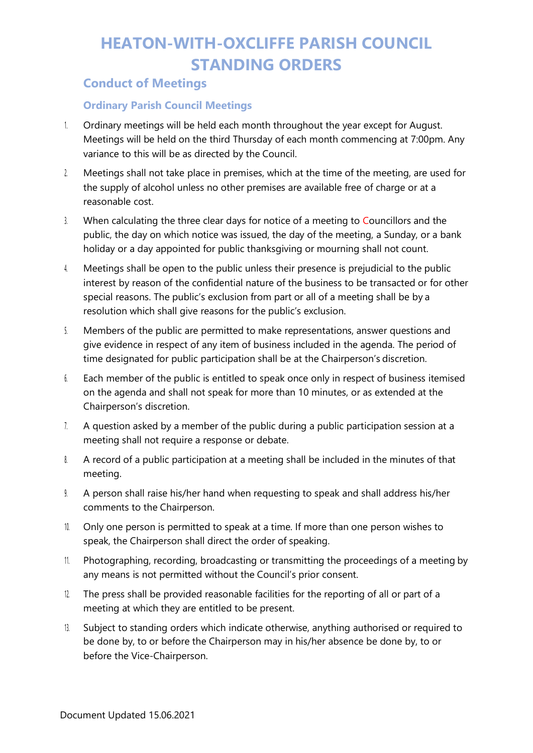### **Conduct of Meetings**

#### **Ordinary Parish Council Meetings**

- 1. Ordinary meetings will be held each month throughout the year except for August. Meetings will be held on the third Thursday of each month commencing at 7:00pm. Any variance to this will be as directed by the Council.
- 2. Meetings shall not take place in premises, which at the time of the meeting, are used for the supply of alcohol unless no other premises are available free of charge or at a reasonable cost.
- 3. When calculating the three clear days for notice of a meeting to Councillors and the public, the day on which notice was issued, the day of the meeting, a Sunday, or a bank holiday or a day appointed for public thanksgiving or mourning shall not count.
- 4. Meetings shall be open to the public unless their presence is prejudicial to the public interest by reason of the confidential nature of the business to be transacted or for other special reasons. The public's exclusion from part or all of a meeting shall be by a resolution which shall give reasons for the public's exclusion.
- 5. Members of the public are permitted to make representations, answer questions and give evidence in respect of any item of business included in the agenda. The period of time designated for public participation shall be at the Chairperson's discretion.
- 6. Each member of the public is entitled to speak once only in respect of business itemised on the agenda and shall not speak for more than 10 minutes, or as extended at the Chairperson's discretion.
- 7. A question asked by a member of the public during a public participation session at a meeting shall not require a response or debate.
- 8. A record of a public participation at a meeting shall be included in the minutes of that meeting.
- 9. A person shall raise his/her hand when requesting to speak and shall address his/her comments to the Chairperson.
- 10. Only one person is permitted to speak at a time. If more than one person wishes to speak, the Chairperson shall direct the order of speaking.
- 11. Photographing, recording, broadcasting or transmitting the proceedings of a meeting by any means is not permitted without the Council's prior consent.
- 12. The press shall be provided reasonable facilities for the reporting of all or part of a meeting at which they are entitled to be present.
- 13. Subject to standing orders which indicate otherwise, anything authorised or required to be done by, to or before the Chairperson may in his/her absence be done by, to or before the Vice-Chairperson.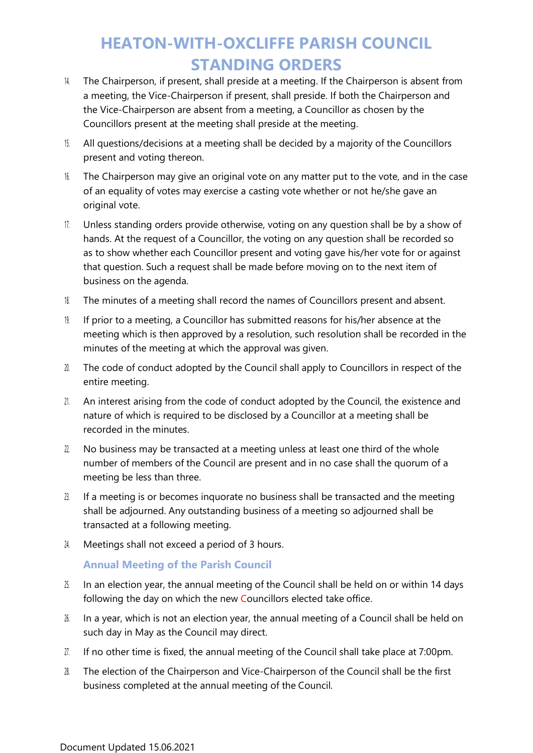- 14. The Chairperson, if present, shall preside at a meeting. If the Chairperson is absent from a meeting, the Vice-Chairperson if present, shall preside. If both the Chairperson and the Vice-Chairperson are absent from a meeting, a Councillor as chosen by the Councillors present at the meeting shall preside at the meeting.
- 15. All questions/decisions at a meeting shall be decided by a majority of the Councillors present and voting thereon.
- 16. The Chairperson may give an original vote on any matter put to the vote, and in the case of an equality of votes may exercise a casting vote whether or not he/she gave an original vote.
- 17. Unless standing orders provide otherwise, voting on any question shall be by a show of hands. At the request of a Councillor, the voting on any question shall be recorded so as to show whether each Councillor present and voting gave his/her vote for or against that question. Such a request shall be made before moving on to the next item of business on the agenda.
- 18. The minutes of a meeting shall record the names of Councillors present and absent.
- 19. If prior to a meeting, a Councillor has submitted reasons for his/her absence at the meeting which is then approved by a resolution, such resolution shall be recorded in the minutes of the meeting at which the approval was given.
- 20. The code of conduct adopted by the Council shall apply to Councillors in respect of the entire meeting.
- 21. An interest arising from the code of conduct adopted by the Council, the existence and nature of which is required to be disclosed by a Councillor at a meeting shall be recorded in the minutes.
- $22.$  No business may be transacted at a meeting unless at least one third of the whole number of members of the Council are present and in no case shall the quorum of a meeting be less than three.
- $23.$  If a meeting is or becomes inquorate no business shall be transacted and the meeting shall be adjourned. Any outstanding business of a meeting so adjourned shall be transacted at a following meeting.
- 24. Meetings shall not exceed a period of 3 hours.

#### **Annual Meeting of the Parish Council**

- $25$ . In an election year, the annual meeting of the Council shall be held on or within 14 days following the day on which the new Councillors elected take office.
- 26. In a year, which is not an election year, the annual meeting of a Council shall be held on such day in May as the Council may direct.
- 27. If no other time is fixed, the annual meeting of the Council shall take place at 7:00pm.
- 28. The election of the Chairperson and Vice-Chairperson of the Council shall be the first business completed at the annual meeting of the Council.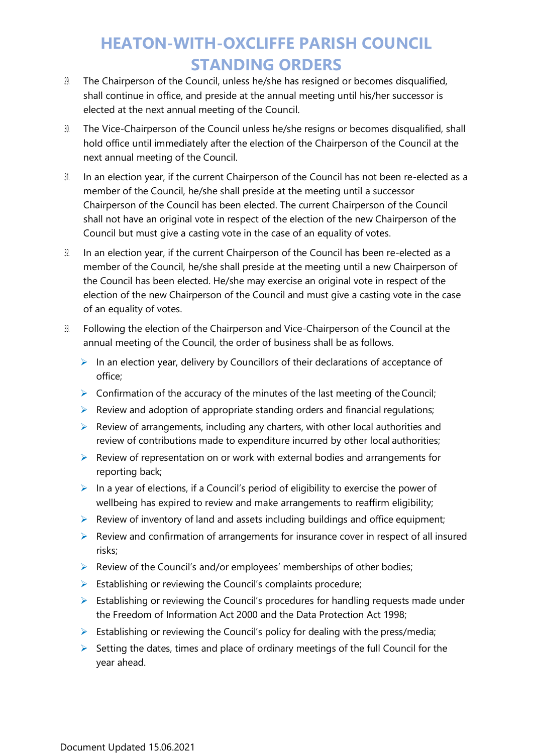- 29. The Chairperson of the Council, unless he/she has resigned or becomes disqualified, shall continue in office, and preside at the annual meeting until his/her successor is elected at the next annual meeting of the Council.
- 30. The Vice-Chairperson of the Council unless he/she resigns or becomes disqualified, shall hold office until immediately after the election of the Chairperson of the Council at the next annual meeting of the Council.
- 31. In an election year, if the current Chairperson of the Council has not been re-elected as a member of the Council, he/she shall preside at the meeting until a successor Chairperson of the Council has been elected. The current Chairperson of the Council shall not have an original vote in respect of the election of the new Chairperson of the Council but must give a casting vote in the case of an equality of votes.
- 32. In an election year, if the current Chairperson of the Council has been re-elected as a member of the Council, he/she shall preside at the meeting until a new Chairperson of the Council has been elected. He/she may exercise an original vote in respect of the election of the new Chairperson of the Council and must give a casting vote in the case of an equality of votes.
- 33. Following the election of the Chairperson and Vice-Chairperson of the Council at the annual meeting of the Council, the order of business shall be as follows.
	- $\triangleright$  In an election year, delivery by Councillors of their declarations of acceptance of office;
	- $\triangleright$  Confirmation of the accuracy of the minutes of the last meeting of the Council;
	- $\triangleright$  Review and adoption of appropriate standing orders and financial regulations;
	- $\triangleright$  Review of arrangements, including any charters, with other local authorities and review of contributions made to expenditure incurred by other local authorities;
	- ➢ Review of representation on or work with external bodies and arrangements for reporting back;
	- $\triangleright$  In a year of elections, if a Council's period of eligibility to exercise the power of wellbeing has expired to review and make arrangements to reaffirm eligibility;
	- ➢ Review of inventory of land and assets including buildings and office equipment;
	- ➢ Review and confirmation of arrangements for insurance cover in respect of all insured risks;
	- ➢ Review of the Council's and/or employees' memberships of other bodies;
	- $\triangleright$  Establishing or reviewing the Council's complaints procedure;
	- ➢ Establishing or reviewing the Council's procedures for handling requests made under the Freedom of Information Act 2000 and the Data Protection Act 1998;
	- $\triangleright$  Establishing or reviewing the Council's policy for dealing with the press/media;
	- $\triangleright$  Setting the dates, times and place of ordinary meetings of the full Council for the year ahead.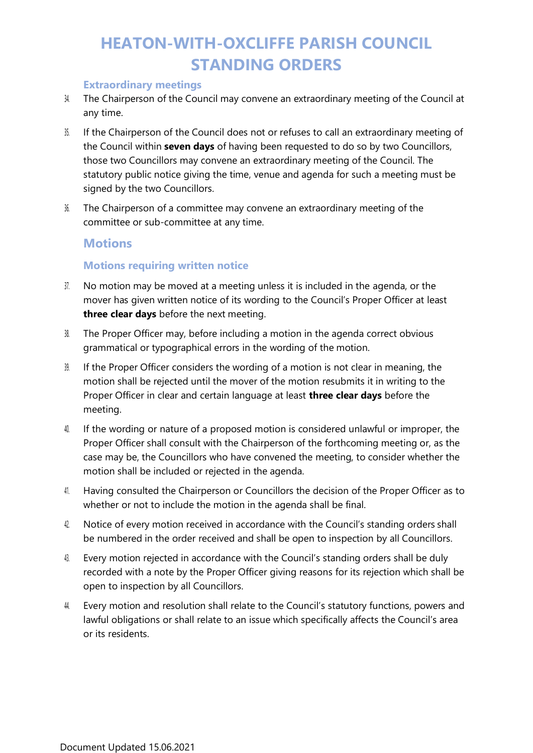#### **Extraordinary meetings**

- 34. The Chairperson of the Council may convene an extraordinary meeting of the Council at any time.
- 35. If the Chairperson of the Council does not or refuses to call an extraordinary meeting of the Council within **seven days** of having been requested to do so by two Councillors, those two Councillors may convene an extraordinary meeting of the Council. The statutory public notice giving the time, venue and agenda for such a meeting must be signed by the two Councillors.
- 36. The Chairperson of a committee may convene an extraordinary meeting of the committee or sub-committee at any time.

### **Motions**

#### **Motions requiring written notice**

- 37. No motion may be moved at a meeting unless it is included in the agenda, or the mover has given written notice of its wording to the Council's Proper Officer at least **three clear days** before the next meeting.
- 38. The Proper Officer may, before including a motion in the agenda correct obvious grammatical or typographical errors in the wording of the motion.
- 39. If the Proper Officer considers the wording of a motion is not clear in meaning, the motion shall be rejected until the mover of the motion resubmits it in writing to the Proper Officer in clear and certain language at least **three clear days** before the meeting.
- 40. If the wording or nature of a proposed motion is considered unlawful or improper, the Proper Officer shall consult with the Chairperson of the forthcoming meeting or, as the case may be, the Councillors who have convened the meeting, to consider whether the motion shall be included or rejected in the agenda.
- 41. Having consulted the Chairperson or Councillors the decision of the Proper Officer as to whether or not to include the motion in the agenda shall be final.
- 42. Notice of every motion received in accordance with the Council's standing orders shall be numbered in the order received and shall be open to inspection by all Councillors.
- 43. Every motion rejected in accordance with the Council's standing orders shall be duly recorded with a note by the Proper Officer giving reasons for its rejection which shall be open to inspection by all Councillors.
- 4. Every motion and resolution shall relate to the Council's statutory functions, powers and lawful obligations or shall relate to an issue which specifically affects the Council's area or its residents.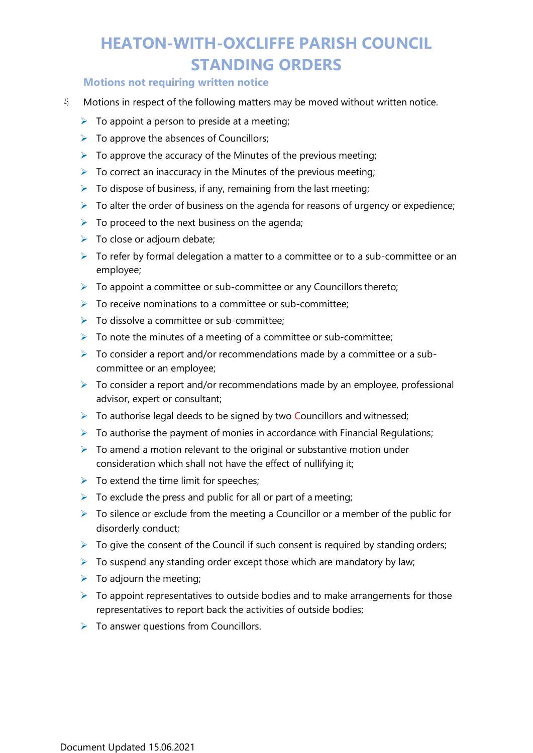#### **Motions not requiring written notice**

- 45. Motions in respect of the following matters may be moved without written notice.
	- $\triangleright$  To appoint a person to preside at a meeting;
	- $\triangleright$  To approve the absences of Councillors;
	- $\triangleright$  To approve the accuracy of the Minutes of the previous meeting;
	- $\triangleright$  To correct an inaccuracy in the Minutes of the previous meeting;
	- $\triangleright$  To dispose of business, if any, remaining from the last meeting;
	- $\triangleright$  To alter the order of business on the agenda for reasons of urgency or expedience;
	- $\triangleright$  To proceed to the next business on the agenda;
	- $\triangleright$  To close or adjourn debate;
	- $\triangleright$  To refer by formal delegation a matter to a committee or to a sub-committee or an employee;
	- $\triangleright$  To appoint a committee or sub-committee or any Councillors thereto;
	- $\triangleright$  To receive nominations to a committee or sub-committee:
	- $\triangleright$  To dissolve a committee or sub-committee:
	- $\triangleright$  To note the minutes of a meeting of a committee or sub-committee;
	- $\triangleright$  To consider a report and/or recommendations made by a committee or a subcommittee or an employee;
	- $\triangleright$  To consider a report and/or recommendations made by an employee, professional advisor, expert or consultant;
	- $\triangleright$  To authorise legal deeds to be signed by two Councillors and witnessed;
	- $\triangleright$  To authorise the payment of monies in accordance with Financial Regulations;
	- $\triangleright$  To amend a motion relevant to the original or substantive motion under consideration which shall not have the effect of nullifying it;
	- $\triangleright$  To extend the time limit for speeches;
	- $\triangleright$  To exclude the press and public for all or part of a meeting;
	- $\triangleright$  To silence or exclude from the meeting a Councillor or a member of the public for disorderly conduct;
	- $\triangleright$  To give the consent of the Council if such consent is required by standing orders;
	- $\triangleright$  To suspend any standing order except those which are mandatory by law;
	- $\triangleright$  To adjourn the meeting;
	- $\triangleright$  To appoint representatives to outside bodies and to make arrangements for those representatives to report back the activities of outside bodies;
	- $\triangleright$  To answer questions from Councillors.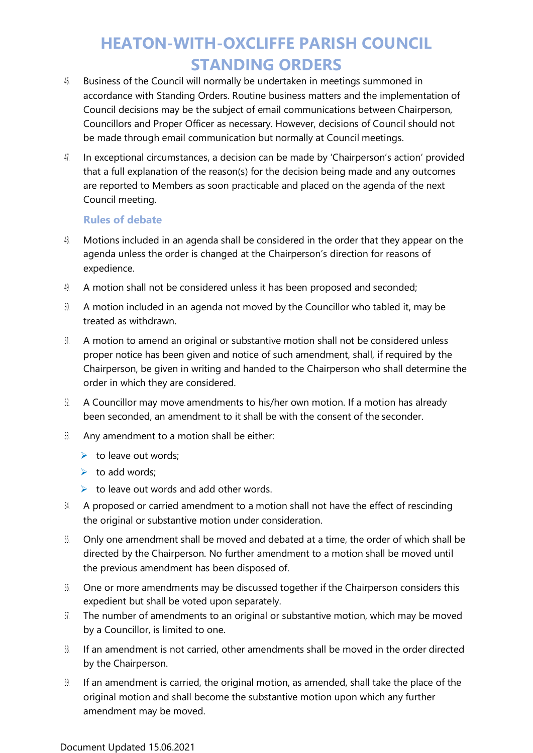- 46. Business of the Council will normally be undertaken in meetings summoned in accordance with Standing Orders. Routine business matters and the implementation of Council decisions may be the subject of email communications between Chairperson, Councillors and Proper Officer as necessary. However, decisions of Council should not be made through email communication but normally at Council meetings.
- 47. In exceptional circumstances, a decision can be made by 'Chairperson's action' provided that a full explanation of the reason(s) for the decision being made and any outcomes are reported to Members as soon practicable and placed on the agenda of the next Council meeting.

#### **Rules of debate**

- 48. Motions included in an agenda shall be considered in the order that they appear on the agenda unless the order is changed at the Chairperson's direction for reasons of expedience.
- 49. A motion shall not be considered unless it has been proposed and seconded;
- 50. A motion included in an agenda not moved by the Councillor who tabled it, may be treated as withdrawn.
- 51. A motion to amend an original or substantive motion shall not be considered unless proper notice has been given and notice of such amendment, shall, if required by the Chairperson, be given in writing and handed to the Chairperson who shall determine the order in which they are considered.
- 52. A Councillor may move amendments to his/her own motion. If a motion has already been seconded, an amendment to it shall be with the consent of the seconder.
- 53. Any amendment to a motion shall be either:
	- $\triangleright$  to leave out words;
	- $\triangleright$  to add words;
	- $\triangleright$  to leave out words and add other words.
- 54. A proposed or carried amendment to a motion shall not have the effect of rescinding the original or substantive motion under consideration.
- 55. Only one amendment shall be moved and debated at a time, the order of which shall be directed by the Chairperson. No further amendment to a motion shall be moved until the previous amendment has been disposed of.
- 56. One or more amendments may be discussed together if the Chairperson considers this expedient but shall be voted upon separately.
- 57. The number of amendments to an original or substantive motion, which may be moved by a Councillor, is limited to one.
- 58. If an amendment is not carried, other amendments shall be moved in the order directed by the Chairperson.
- 59. If an amendment is carried, the original motion, as amended, shall take the place of the original motion and shall become the substantive motion upon which any further amendment may be moved.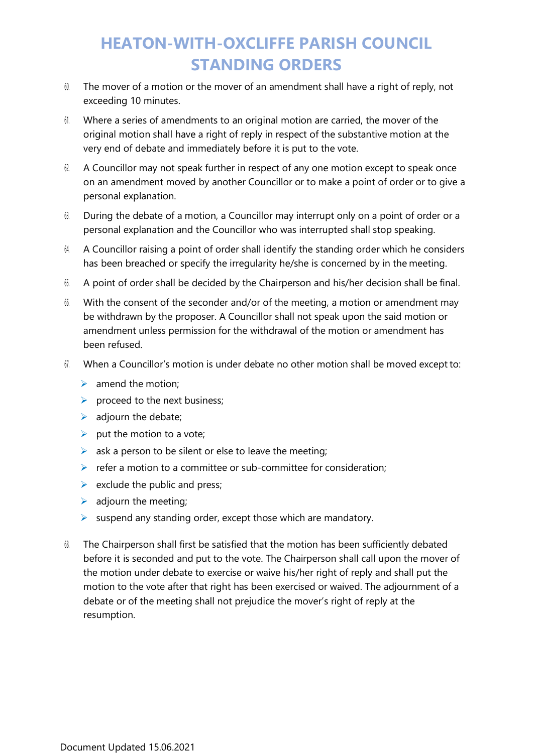- $60$ . The mover of a motion or the mover of an amendment shall have a right of reply, not exceeding 10 minutes.
- 61. Where a series of amendments to an original motion are carried, the mover of the original motion shall have a right of reply in respect of the substantive motion at the very end of debate and immediately before it is put to the vote.
- 62. A Councillor may not speak further in respect of any one motion except to speak once on an amendment moved by another Councillor or to make a point of order or to give a personal explanation.
- $63.$  During the debate of a motion, a Councillor may interrupt only on a point of order or a personal explanation and the Councillor who was interrupted shall stop speaking.
- 64. A Councillor raising a point of order shall identify the standing order which he considers has been breached or specify the irregularity he/she is concerned by in the meeting.
- 65. A point of order shall be decided by the Chairperson and his/her decision shall be final.
- 66. With the consent of the seconder and/or of the meeting, a motion or amendment may be withdrawn by the proposer. A Councillor shall not speak upon the said motion or amendment unless permission for the withdrawal of the motion or amendment has been refused.
- 67. When a Councillor's motion is under debate no other motion shall be moved except to:
	- $\triangleright$  amend the motion;
	- $\triangleright$  proceed to the next business;
	- $\triangleright$  adjourn the debate;
	- $\triangleright$  put the motion to a vote;
	- $\triangleright$  ask a person to be silent or else to leave the meeting;
	- $\triangleright$  refer a motion to a committee or sub-committee for consideration;
	- $\triangleright$  exclude the public and press;
	- $\triangleright$  adjourn the meeting;
	- $\triangleright$  suspend any standing order, except those which are mandatory.
- 68. The Chairperson shall first be satisfied that the motion has been sufficiently debated before it is seconded and put to the vote. The Chairperson shall call upon the mover of the motion under debate to exercise or waive his/her right of reply and shall put the motion to the vote after that right has been exercised or waived. The adjournment of a debate or of the meeting shall not prejudice the mover's right of reply at the resumption.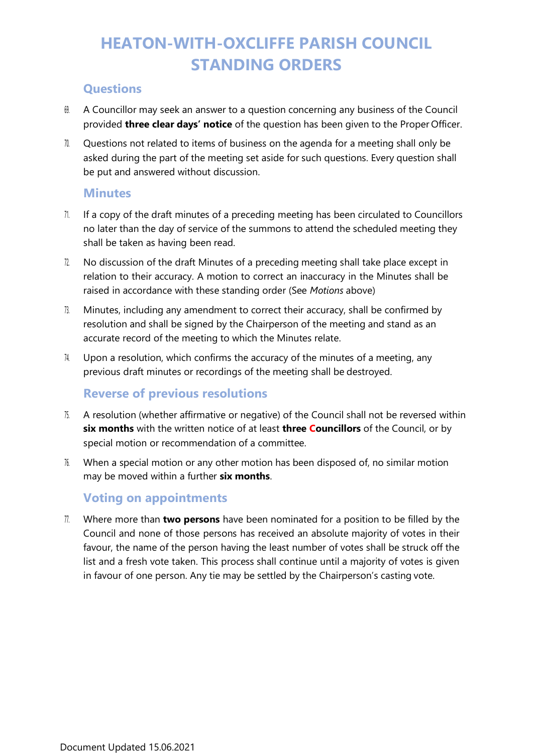### **Questions**

- 69. A Councillor may seek an answer to a question concerning any business of the Council provided **three clear days' notice** of the question has been given to the Proper Officer.
- 70. Questions not related to items of business on the agenda for a meeting shall only be asked during the part of the meeting set aside for such questions. Every question shall be put and answered without discussion.

#### **Minutes**

- 71. If a copy of the draft minutes of a preceding meeting has been circulated to Councillors no later than the day of service of the summons to attend the scheduled meeting they shall be taken as having been read.
- 72. No discussion of the draft Minutes of a preceding meeting shall take place except in relation to their accuracy. A motion to correct an inaccuracy in the Minutes shall be raised in accordance with these standing order (See *Motions* above)
- 73. Minutes, including any amendment to correct their accuracy, shall be confirmed by resolution and shall be signed by the Chairperson of the meeting and stand as an accurate record of the meeting to which the Minutes relate.
- 74. Upon a resolution, which confirms the accuracy of the minutes of a meeting, any previous draft minutes or recordings of the meeting shall be destroyed.

### **Reverse of previous resolutions**

- 75. A resolution (whether affirmative or negative) of the Council shall not be reversed within **six months** with the written notice of at least **three Councillors** of the Council, or by special motion or recommendation of a committee.
- 76. When a special motion or any other motion has been disposed of, no similar motion may be moved within a further **six months**.

## **Voting on appointments**

77. Where more than **two persons** have been nominated for a position to be filled by the Council and none of those persons has received an absolute majority of votes in their favour, the name of the person having the least number of votes shall be struck off the list and a fresh vote taken. This process shall continue until a majority of votes is given in favour of one person. Any tie may be settled by the Chairperson's casting vote.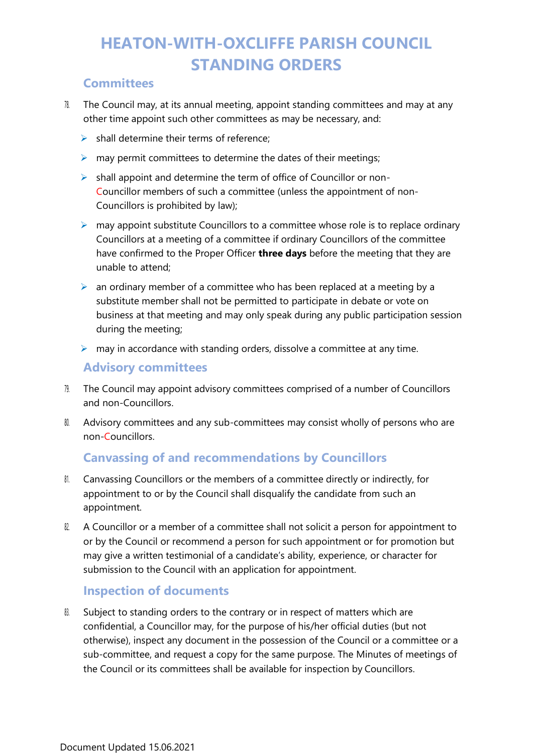### **Committees**

- 78. The Council may, at its annual meeting, appoint standing committees and may at any other time appoint such other committees as may be necessary, and:
	- $\triangleright$  shall determine their terms of reference:
	- $\triangleright$  may permit committees to determine the dates of their meetings;
	- ➢ shall appoint and determine the term of office of Councillor or non-Councillor members of such a committee (unless the appointment of non-Councillors is prohibited by law);
	- $\triangleright$  may appoint substitute Councillors to a committee whose role is to replace ordinary Councillors at a meeting of a committee if ordinary Councillors of the committee have confirmed to the Proper Officer **three days** before the meeting that they are unable to attend;
	- $\triangleright$  an ordinary member of a committee who has been replaced at a meeting by a substitute member shall not be permitted to participate in debate or vote on business at that meeting and may only speak during any public participation session during the meeting;
	- $\triangleright$  may in accordance with standing orders, dissolve a committee at any time.

#### **Advisory committees**

- 79. The Council may appoint advisory committees comprised of a number of Councillors and non-Councillors.
- 80. Advisory committees and any sub-committees may consist wholly of persons who are non-Councillors.

### **Canvassing of and recommendations by Councillors**

- 81. Canvassing Councillors or the members of a committee directly or indirectly, for appointment to or by the Council shall disqualify the candidate from such an appointment.
- 82. A Councillor or a member of a committee shall not solicit a person for appointment to or by the Council or recommend a person for such appointment or for promotion but may give a written testimonial of a candidate's ability, experience, or character for submission to the Council with an application for appointment.

### **Inspection of documents**

83. Subject to standing orders to the contrary or in respect of matters which are confidential, a Councillor may, for the purpose of his/her official duties (but not otherwise), inspect any document in the possession of the Council or a committee or a sub-committee, and request a copy for the same purpose. The Minutes of meetings of the Council or its committees shall be available for inspection by Councillors.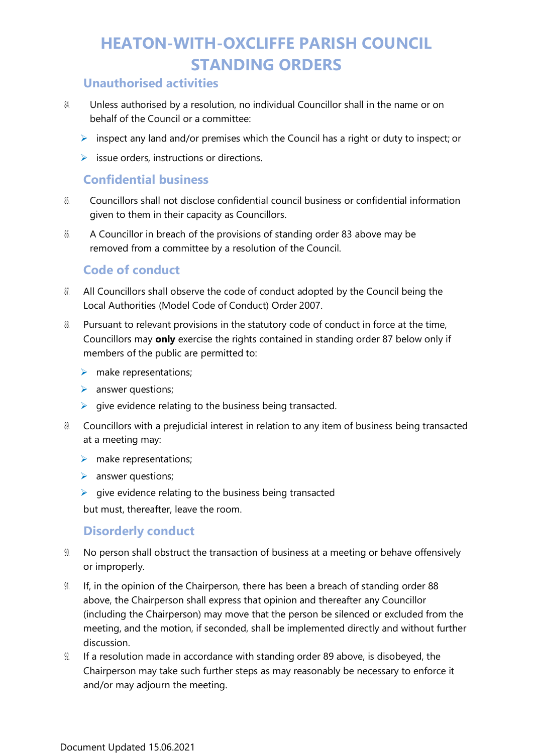### **Unauthorised activities**

- 84. Unless authorised by a resolution, no individual Councillor shall in the name or on behalf of the Council or a committee:
	- $\triangleright$  inspect any land and/or premises which the Council has a right or duty to inspect; or
	- $\triangleright$  issue orders, instructions or directions.

### **Confidential business**

- 85. Councillors shall not disclose confidential council business or confidential information given to them in their capacity as Councillors.
- 86. A Councillor in breach of the provisions of standing order 83 above may be removed from a committee by a resolution of the Council.

#### **Code of conduct**

- 87. All Councillors shall observe the code of conduct adopted by the Council being the Local Authorities (Model Code of Conduct) Order 2007.
- 88. Pursuant to relevant provisions in the statutory code of conduct in force at the time, Councillors may **only** exercise the rights contained in standing order 87 below only if members of the public are permitted to:
	- $\triangleright$  make representations;
	- ➢ answer questions;
	- $\triangleright$  give evidence relating to the business being transacted.
- 8. Councillors with a prejudicial interest in relation to any item of business being transacted at a meeting may:
	- $\triangleright$  make representations;
	- ➢ answer questions;
	- $\triangleright$  give evidence relating to the business being transacted

but must, thereafter, leave the room.

### **Disorderly conduct**

- $90.$  No person shall obstruct the transaction of business at a meeting or behave offensively or improperly.
- 91. If, in the opinion of the Chairperson, there has been a breach of standing order 88 above, the Chairperson shall express that opinion and thereafter any Councillor (including the Chairperson) may move that the person be silenced or excluded from the meeting, and the motion, if seconded, shall be implemented directly and without further discussion.
- 92. If a resolution made in accordance with standing order 89 above, is disobeyed, the Chairperson may take such further steps as may reasonably be necessary to enforce it and/or may adjourn the meeting.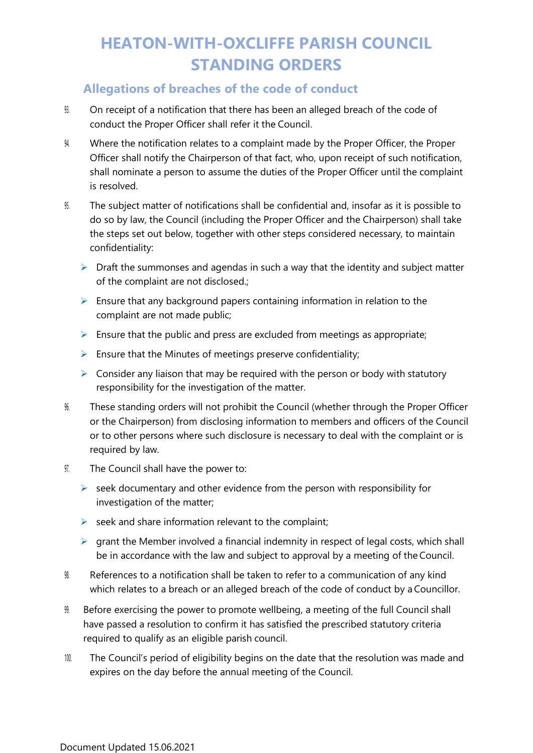### **Allegations of breaches of the code of conduct**

- 93. On receipt of a notification that there has been an alleged breach of the code of conduct the Proper Officer shall refer it the Council.
- 94. Where the notification relates to a complaint made by the Proper Officer, the Proper Officer shall notify the Chairperson of that fact, who, upon receipt of such notification, shall nominate a person to assume the duties of the Proper Officer until the complaint is resolved.
- 95. The subject matter of notifications shall be confidential and, insofar as it is possible to do so by law, the Council (including the Proper Officer and the Chairperson) shall take the steps set out below, together with other steps considered necessary, to maintain confidentiality:
	- $\triangleright$  Draft the summonses and agendas in such a way that the identity and subject matter of the complaint are not disclosed.;
	- $\triangleright$  Ensure that any background papers containing information in relation to the complaint are not made public;
	- $\triangleright$  Ensure that the public and press are excluded from meetings as appropriate;
	- $\triangleright$  Ensure that the Minutes of meetings preserve confidentiality;
	- $\triangleright$  Consider any liaison that may be required with the person or body with statutory responsibility for the investigation of the matter.
- 96. These standing orders will not prohibit the Council (whether through the Proper Officer or the Chairperson) from disclosing information to members and officers of the Council or to other persons where such disclosure is necessary to deal with the complaint or is required by law.
- 97. The Council shall have the power to:
	- $\triangleright$  seek documentary and other evidence from the person with responsibility for investigation of the matter;
	- $\triangleright$  seek and share information relevant to the complaint;
	- $\triangleright$  grant the Member involved a financial indemnity in respect of legal costs, which shall be in accordance with the law and subject to approval by a meeting of theCouncil.
- 98. References to a notification shall be taken to refer to a communication of any kind which relates to a breach or an alleged breach of the code of conduct by a Councillor.
- 99. Before exercising the power to promote wellbeing, a meeting of the full Council shall have passed a resolution to confirm it has satisfied the prescribed statutory criteria required to qualify as an eligible parish council.
- 100. The Council's period of eligibility begins on the date that the resolution was made and expires on the day before the annual meeting of the Council.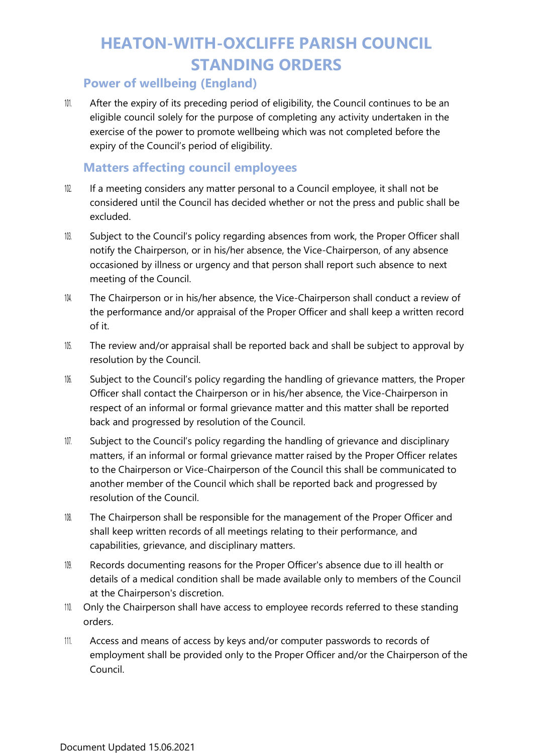### **Power of wellbeing (England)**

 $101$ . After the expiry of its preceding period of eligibility, the Council continues to be an eligible council solely for the purpose of completing any activity undertaken in the exercise of the power to promote wellbeing which was not completed before the expiry of the Council's period of eligibility.

## **Matters affecting council employees**

- 102. If a meeting considers any matter personal to a Council employee, it shall not be considered until the Council has decided whether or not the press and public shall be excluded.
- 103. Subject to the Council's policy regarding absences from work, the Proper Officer shall notify the Chairperson, or in his/her absence, the Vice-Chairperson, of any absence occasioned by illness or urgency and that person shall report such absence to next meeting of the Council.
- 104. The Chairperson or in his/her absence, the Vice-Chairperson shall conduct a review of the performance and/or appraisal of the Proper Officer and shall keep a written record of it.
- 105. The review and/or appraisal shall be reported back and shall be subject to approval by resolution by the Council.
- 106. Subject to the Council's policy regarding the handling of grievance matters, the Proper Officer shall contact the Chairperson or in his/her absence, the Vice-Chairperson in respect of an informal or formal grievance matter and this matter shall be reported back and progressed by resolution of the Council.
- 107. Subject to the Council's policy regarding the handling of grievance and disciplinary matters, if an informal or formal grievance matter raised by the Proper Officer relates to the Chairperson or Vice-Chairperson of the Council this shall be communicated to another member of the Council which shall be reported back and progressed by resolution of the Council.
- 108. The Chairperson shall be responsible for the management of the Proper Officer and shall keep written records of all meetings relating to their performance, and capabilities, grievance, and disciplinary matters.
- 109. Records documenting reasons for the Proper Officer's absence due to ill health or details of a medical condition shall be made available only to members of the Council at the Chairperson's discretion.
- 110. Only the Chairperson shall have access to employee records referred to these standing orders.
- 111. Access and means of access by keys and/or computer passwords to records of employment shall be provided only to the Proper Officer and/or the Chairperson of the Council.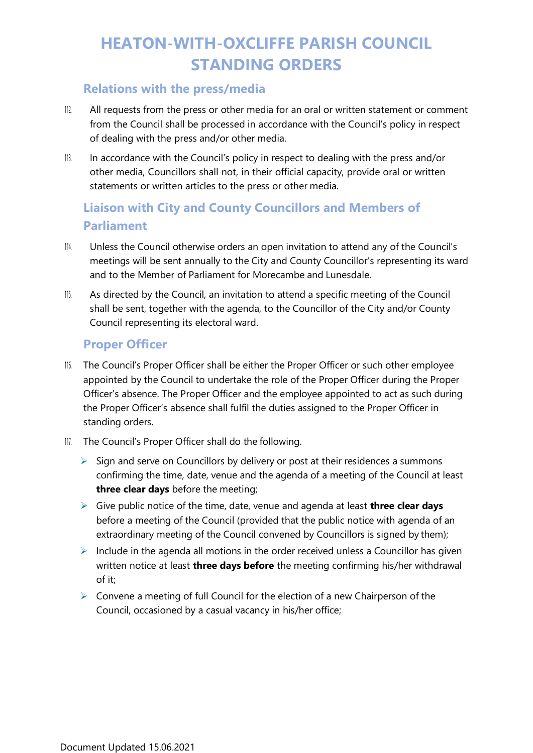### **Relations with the press/media**

- 112. All requests from the press or other media for an oral or written statement or comment from the Council shall be processed in accordance with the Council's policy in respect of dealing with the press and/or other media.
- 113. In accordance with the Council's policy in respect to dealing with the press and/or other media, Councillors shall not, in their official capacity, provide oral or written statements or written articles to the press or other media.

## **Liaison with City and County Councillors and Members of Parliament**

- 114. Unless the Council otherwise orders an open invitation to attend any of the Council's meetings will be sent annually to the City and County Councillor's representing its ward and to the Member of Parliament for Morecambe and Lunesdale.
- 115. As directed by the Council, an invitation to attend a specific meeting of the Council shall be sent, together with the agenda, to the Councillor of the City and/or County Council representing its electoral ward.

### **Proper Officer**

- 116. The Council's Proper Officer shall be either the Proper Officer or such other employee appointed by the Council to undertake the role of the Proper Officer during the Proper Officer's absence. The Proper Officer and the employee appointed to act as such during the Proper Officer's absence shall fulfil the duties assigned to the Proper Officer in standing orders.
- 117. The Council's Proper Officer shall do the following.
	- $\triangleright$  Sign and serve on Councillors by delivery or post at their residences a summons confirming the time, date, venue and the agenda of a meeting of the Council at least **three clear days** before the meeting;
	- ➢ Give public notice of the time, date, venue and agenda at least **three clear days**  before a meeting of the Council (provided that the public notice with agenda of an extraordinary meeting of the Council convened by Councillors is signed by them);
	- $\triangleright$  Include in the agenda all motions in the order received unless a Councillor has given written notice at least **three days before** the meeting confirming his/her withdrawal of it;
	- $\triangleright$  Convene a meeting of full Council for the election of a new Chairperson of the Council, occasioned by a casual vacancy in his/her office;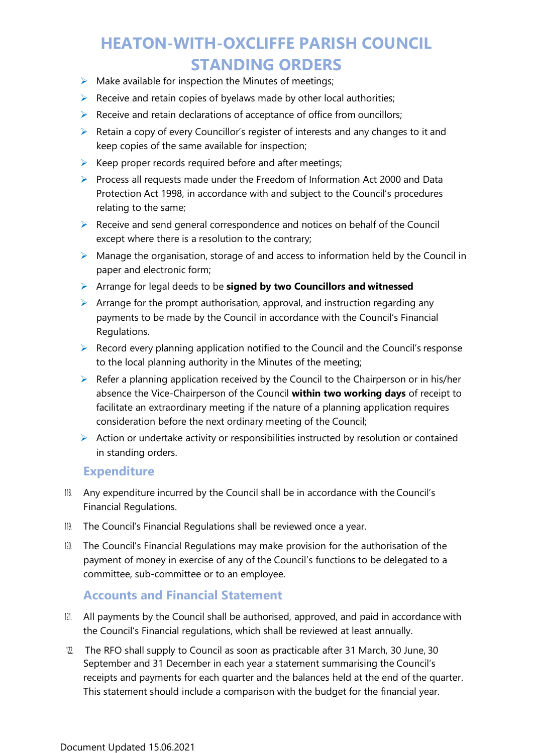- $\triangleright$  Make available for inspection the Minutes of meetings;
- $\triangleright$  Receive and retain copies of byelaws made by other local authorities;
- $\triangleright$  Receive and retain declarations of acceptance of office from ouncillors;
- ➢ Retain a copy of every Councillor's register of interests and any changes to it and keep copies of the same available for inspection;
- $\triangleright$  Keep proper records required before and after meetings;
- ➢ Process all requests made under the Freedom of Information Act 2000 and Data Protection Act 1998, in accordance with and subject to the Council's procedures relating to the same;
- ➢ Receive and send general correspondence and notices on behalf of the Council except where there is a resolution to the contrary;
- $\triangleright$  Manage the organisation, storage of and access to information held by the Council in paper and electronic form;
- ➢ Arrange for legal deeds to be **signed by two Councillors and witnessed**
- $\triangleright$  Arrange for the prompt authorisation, approval, and instruction regarding any payments to be made by the Council in accordance with the Council's Financial Regulations.
- $\triangleright$  Record every planning application notified to the Council and the Council's response to the local planning authority in the Minutes of the meeting;
- $\triangleright$  Refer a planning application received by the Council to the Chairperson or in his/her absence the Vice-Chairperson of the Council **within two working days** of receipt to facilitate an extraordinary meeting if the nature of a planning application requires consideration before the next ordinary meeting of the Council;
- ➢ Action or undertake activity or responsibilities instructed by resolution or contained in standing orders.

#### **Expenditure**

- 118. Any expenditure incurred by the Council shall be in accordance with the Council's Financial Regulations.
- 119. The Council's Financial Regulations shall be reviewed once a year.
- 120. The Council's Financial Regulations may make provision for the authorisation of the payment of money in exercise of any of the Council's functions to be delegated to a committee, sub-committee or to an employee.

### **Accounts and Financial Statement**

- 121. All payments by the Council shall be authorised, approved, and paid in accordance with the Council's Financial regulations, which shall be reviewed at least annually.
- 122. The RFO shall supply to Council as soon as practicable after 31 March, 30 June, 30 September and 31 December in each year a statement summarising the Council's receipts and payments for each quarter and the balances held at the end of the quarter. This statement should include a comparison with the budget for the financial year.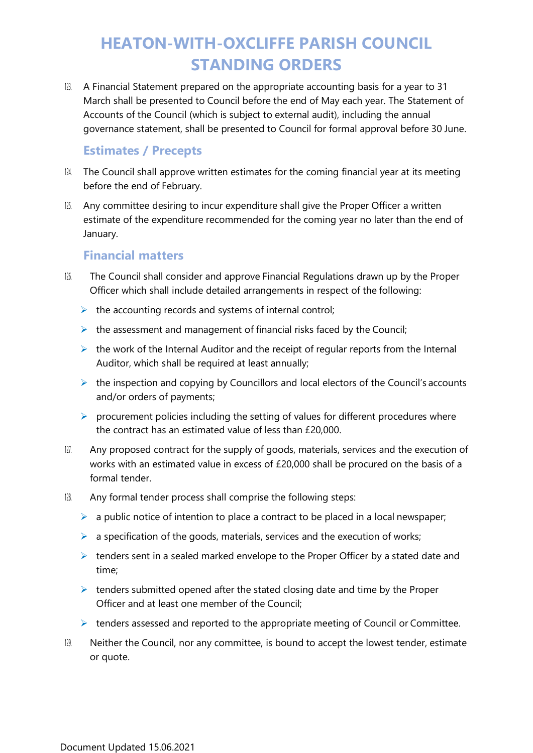123. A Financial Statement prepared on the appropriate accounting basis for a year to 31 March shall be presented to Council before the end of May each year. The Statement of Accounts of the Council (which is subject to external audit), including the annual governance statement, shall be presented to Council for formal approval before 30 June.

### **Estimates / Precepts**

- $124$ . The Council shall approve written estimates for the coming financial year at its meeting before the end of February.
- 125. Any committee desiring to incur expenditure shall give the Proper Officer a written estimate of the expenditure recommended for the coming year no later than the end of January.

### **Financial matters**

- 126. The Council shall consider and approve Financial Regulations drawn up by the Proper Officer which shall include detailed arrangements in respect of the following:
	- $\triangleright$  the accounting records and systems of internal control;
	- $\triangleright$  the assessment and management of financial risks faced by the Council;
	- $\triangleright$  the work of the Internal Auditor and the receipt of regular reports from the Internal Auditor, which shall be required at least annually;
	- ➢ the inspection and copying by Councillors and local electors of the Council's accounts and/or orders of payments;
	- $\triangleright$  procurement policies including the setting of values for different procedures where the contract has an estimated value of less than £20,000.
- 127. Any proposed contract for the supply of goods, materials, services and the execution of works with an estimated value in excess of £20,000 shall be procured on the basis of a formal tender.
- 128. Any formal tender process shall comprise the following steps:
	- $\triangleright$  a public notice of intention to place a contract to be placed in a local newspaper;
	- $\triangleright$  a specification of the goods, materials, services and the execution of works;
	- $\triangleright$  tenders sent in a sealed marked envelope to the Proper Officer by a stated date and time;
	- $\triangleright$  tenders submitted opened after the stated closing date and time by the Proper Officer and at least one member of the Council;
	- $\triangleright$  tenders assessed and reported to the appropriate meeting of Council or Committee.
- 129. Neither the Council, nor any committee, is bound to accept the lowest tender, estimate or quote.